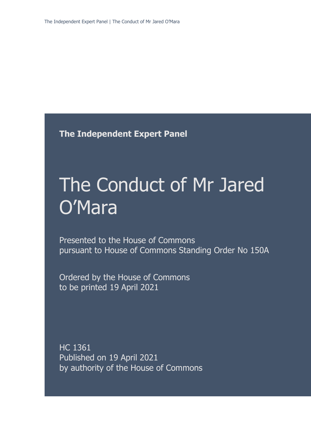**The Independent Expert Panel**

# The Conduct of Mr Jared O'Mara

Presented to the House of Commons pursuant to House of Commons Standing Order No 150A

Ordered by the House of Commons to be printed 19 April 2021

HC 1361 Published on 19 April 2021 by authority of the House of Commons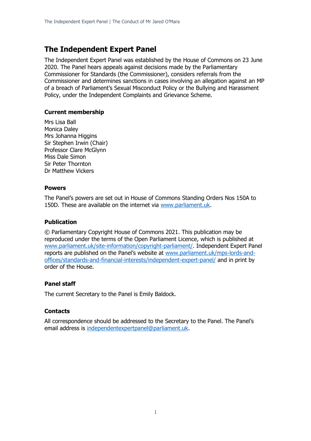### **The Independent Expert Panel**

The Independent Expert Panel was established by the House of Commons on 23 June 2020. The Panel hears appeals against decisions made by the Parliamentary Commissioner for Standards (the Commissioner), considers referrals from the Commissioner and determines sanctions in cases involving an allegation against an MP of a breach of Parliament's Sexual Misconduct Policy or the Bullying and Harassment Policy, under the Independent Complaints and Grievance Scheme.

#### **Current membership**

Mrs Lisa Ball Monica Daley Mrs Johanna Higgins Sir Stephen Irwin (Chair) Professor Clare McGlynn Miss Dale Simon Sir Peter Thornton Dr Matthew Vickers

#### **Powers**

The Panel's powers are set out in House of Commons Standing Orders Nos 150A to 150D. These are available on the internet via [www.parliament.uk.](http://www.parliament.uk/)

#### **Publication**

© Parliamentary Copyright House of Commons 2021. This publication may be reproduced under the terms of the Open Parliament Licence, which is published at [www.parliament.uk/site-information/copyright-parliament/.](http://www.parliament.uk/site-information/copyright-parliament/) Independent Expert Panel reports are published on the Panel's website at [www.parliament.uk/mps-lords-and](http://www.parliament.uk/mps-lords-and-offices/standards-and-financial-interests/independent-expert-panel/)[offices/standards-and-financial-interests/independent-expert-panel/](http://www.parliament.uk/mps-lords-and-offices/standards-and-financial-interests/independent-expert-panel/) and in print by order of the House.

#### **Panel staff**

The current Secretary to the Panel is Emily Baldock.

#### **Contacts**

All correspondence should be addressed to the Secretary to the Panel. The Panel's email address is [independentexpertpanel@parliament.uk.](mailto:independentexpertpanel@parliament.uk)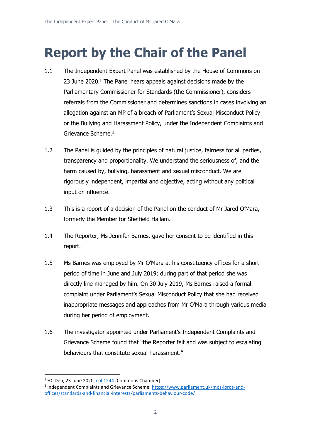## **Report by the Chair of the Panel**

- 1.1 The Independent Expert Panel was established by the House of Commons on 23 June 2020.<sup>1</sup> The Panel hears appeals against decisions made by the Parliamentary Commissioner for Standards (the Commissioner), considers referrals from the Commissioner and determines sanctions in cases involving an allegation against an MP of a breach of Parliament's Sexual Misconduct Policy or the Bullying and Harassment Policy, under the Independent Complaints and Grievance Scheme.<sup>2</sup>
- 1.2 The Panel is guided by the principles of natural justice, fairness for all parties, transparency and proportionality. We understand the seriousness of, and the harm caused by, bullying, harassment and sexual misconduct. We are rigorously independent, impartial and objective, acting without any political input or influence.
- 1.3 This is a report of a decision of the Panel on the conduct of Mr Jared O'Mara, formerly the Member for Sheffield Hallam.
- 1.4 The Reporter, Ms Jennifer Barnes, gave her consent to be identified in this report.
- 1.5 Ms Barnes was employed by Mr O'Mara at his constituency offices for a short period of time in June and July 2019; during part of that period she was directly line managed by him. On 30 July 2019, Ms Barnes raised a formal complaint under Parliament's Sexual Misconduct Policy that she had received inappropriate messages and approaches from Mr O'Mara through various media during her period of employment.
- 1.6 The investigator appointed under Parliament's Independent Complaints and Grievance Scheme found that "the Reporter felt and was subject to escalating behaviours that constitute sexual harassment."

<sup>&</sup>lt;sup>1</sup> HC Deb, 23 June 2020, [col 1244](https://hansard.parliament.uk/commons/2020-06-23/debates/9646C6AF-0D3A-424B-8949-E809F658DB4C/IndependentComplaintsAndGrievanceScheme) [Commons Chamber]

<sup>&</sup>lt;sup>2</sup> Independent Complaints and Grievance Scheme: [https://www.parliament.uk/mps-lords-and](https://www.parliament.uk/mps-lords-and-offices/standards-and-financial-interests/parliaments-behaviour-code/)[offices/standards-and-financial-interests/parliaments-behaviour-code/](https://www.parliament.uk/mps-lords-and-offices/standards-and-financial-interests/parliaments-behaviour-code/)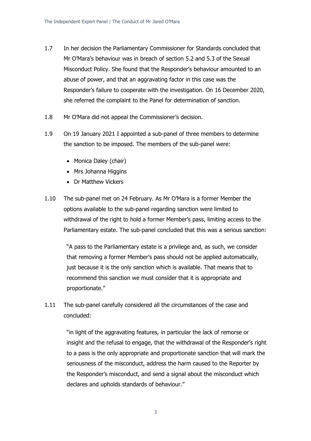- 1.7 In her decision the Parliamentary Commissioner for Standards concluded that Mr O'Mara's behaviour was in breach of section 5.2 and 5.3 of the Sexual Misconduct Policy. She found that the Responder's behaviour amounted to an abuse of power, and that an aggravating factor in this case was the Responder's failure to cooperate with the investigation. On 16 December 2020, she referred the complaint to the Panel for determination of sanction.
- 1.8 Mr O'Mara did not appeal the Commissioner's decision.
- 1.9 On 19 January 2021 I appointed a sub-panel of three members to determine the sanction to be imposed. The members of the sub-panel were:
	- Monica Daley (chair)
	- Mrs Johanna Higgins
	- Dr Matthew Vickers
- 1.10 The sub-panel met on 24 February. As Mr O'Mara is a former Member the options available to the sub-panel regarding sanction were limited to withdrawal of the right to hold a former Member's pass, limiting access to the Parliamentary estate. The sub-panel concluded that this was a serious sanction:

"A pass to the Parliamentary estate is a privilege and, as such, we consider that removing a former Member's pass should not be applied automatically, just because it is the only sanction which is available. That means that to recommend this sanction we must consider that it is appropriate and proportionate."

1.11 The sub-panel carefully considered all the circumstances of the case and concluded:

> "in light of the aggravating features, in particular the lack of remorse or insight and the refusal to engage, that the withdrawal of the Responder's right to a pass is the only appropriate and proportionate sanction that will mark the seriousness of the misconduct, address the harm caused to the Reporter by the Responder's misconduct, and send a signal about the misconduct which declares and upholds standards of behaviour."